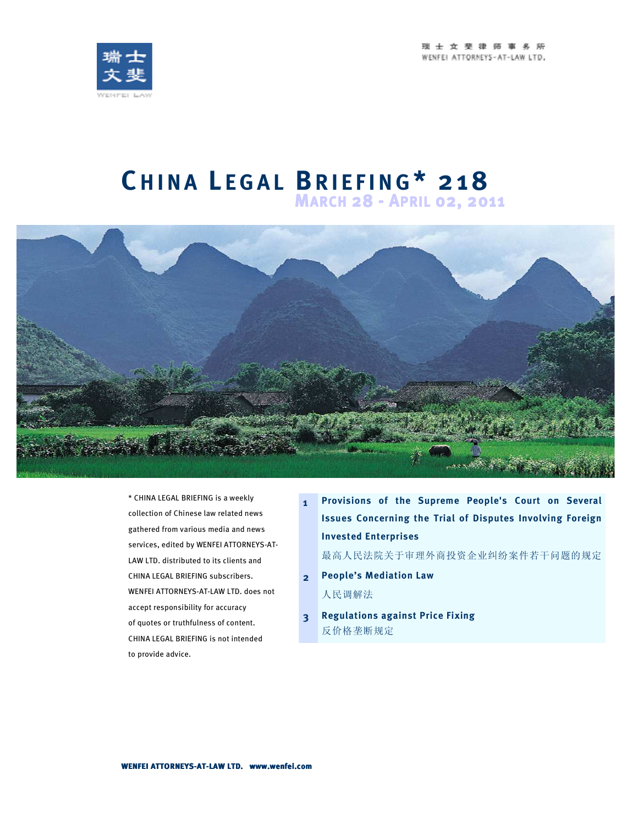



## **C H I N A L E G A L BR I E F I N G\* 2 1 8**





\* CHINA LEGAL BRIEFING is a weekly collection of Chinese law related news gathered from various media and news services, edited by WENFEI ATTORNEYS-AT-LAW LTD. distributed to its clients and CHINA LEGAL BRIEFING subscribers. WENFEI ATTORNEYS-AT-LAW LTD. does not accept responsibility for accuracy of quotes or truthfulness of content. CHINA LEGAL BRIEFING is not intended to provide advice.

**1 Provisions of the Supreme People's Court on Several Issues Concerning the Trial of Disputes Involving Foreign Invested Enterprises** 

最高人民法院关于审理外商投资企业纠纷案件若干问题的规定

- **2 People's Mediation Law**  人民调解法
- **3 Regulations against Price Fixing**  反价格垄断规定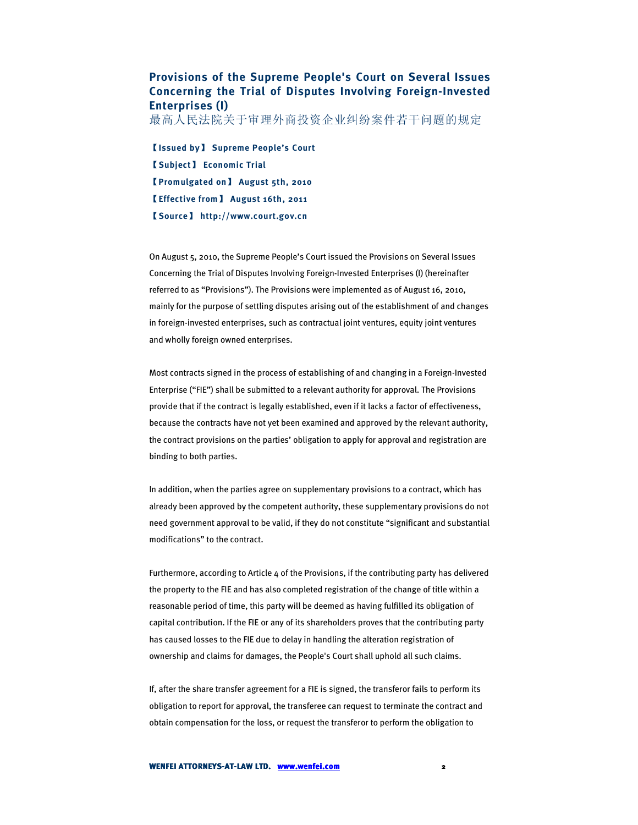## **Provisions of the Supreme People's Court on Several Issues Concerning the Trial of Disputes Involving Foreign-Invested Enterprises (I)**

最高人民法院关于审理外商投资企业纠纷案件若干问题的规定

【**Issued by**】 **Supreme People's Court**  【**Subject**】 **Economic Trial**  【**Promulgated on**】 **August 5th, 2010**  【**Effective from**】 **August 16th, 2011**  【**Source**】 **http://www.court.gov.cn** 

On August 5, 2010, the Supreme People's Court issued the Provisions on Several Issues Concerning the Trial of Disputes Involving Foreign-Invested Enterprises (I) (hereinafter referred to as "Provisions"). The Provisions were implemented as of August 16, 2010, mainly for the purpose of settling disputes arising out of the establishment of and changes in foreign-invested enterprises, such as contractual joint ventures, equity joint ventures and wholly foreign owned enterprises.

Most contracts signed in the process of establishing of and changing in a Foreign-Invested Enterprise ("FIE") shall be submitted to a relevant authority for approval. The Provisions provide that if the contract is legally established, even if it lacks a factor of effectiveness, because the contracts have not yet been examined and approved by the relevant authority, the contract provisions on the parties' obligation to apply for approval and registration are binding to both parties.

In addition, when the parties agree on supplementary provisions to a contract, which has already been approved by the competent authority, these supplementary provisions do not need government approval to be valid, if they do not constitute "significant and substantial modifications" to the contract.

Furthermore, according to Article 4 of the Provisions, if the contributing party has delivered the property to the FIE and has also completed registration of the change of title within a reasonable period of time, this party will be deemed as having fulfilled its obligation of capital contribution. If the FIE or any of its shareholders proves that the contributing party has caused losses to the FIE due to delay in handling the alteration registration of ownership and claims for damages, the People's Court shall uphold all such claims.

If, after the share transfer agreement for a FIE is signed, the transferor fails to perform its obligation to report for approval, the transferee can request to terminate the contract and obtain compensation for the loss, or request the transferor to perform the obligation to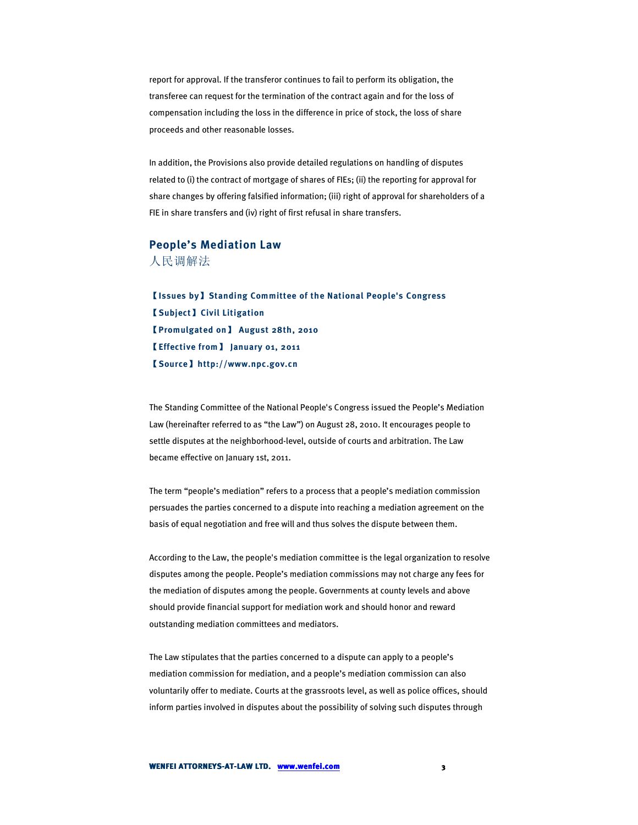report for approval. If the transferor continues to fail to perform its obligation, the transferee can request for the termination of the contract again and for the loss of compensation including the loss in the difference in price of stock, the loss of share proceeds and other reasonable losses.

In addition, the Provisions also provide detailed regulations on handling of disputes related to (i) the contract of mortgage of shares of FIEs; (ii) the reporting for approval for share changes by offering falsified information; (iii) right of approval for shareholders of a FIE in share transfers and (iv) right of first refusal in share transfers.

## **People's Mediation Law**  人民调解法

【**Issues by**】**Standing Committee of the National People's Congress**  【**Subject**】**Civil Litigation**  【**Promulgated on**】 **August 28th, 2010**  【**Effective from**】 **January 01, 2011**  【**Source**】**http://www.npc.gov.cn** 

The Standing Committee of the National People's Congress issued the People's Mediation Law (hereinafter referred to as "the Law") on August 28, 2010. It encourages people to settle disputes at the neighborhood-level, outside of courts and arbitration. The Law became effective on January 1st, 2011.

The term "people's mediation" refers to a process that a people's mediation commission persuades the parties concerned to a dispute into reaching a mediation agreement on the basis of equal negotiation and free will and thus solves the dispute between them.

According to the Law, the people's mediation committee is the legal organization to resolve disputes among the people. People's mediation commissions may not charge any fees for the mediation of disputes among the people. Governments at county levels and above should provide financial support for mediation work and should honor and reward outstanding mediation committees and mediators.

The Law stipulates that the parties concerned to a dispute can apply to a people's mediation commission for mediation, and a people's mediation commission can also voluntarily offer to mediate. Courts at the grassroots level, as well as police offices, should inform parties involved in disputes about the possibility of solving such disputes through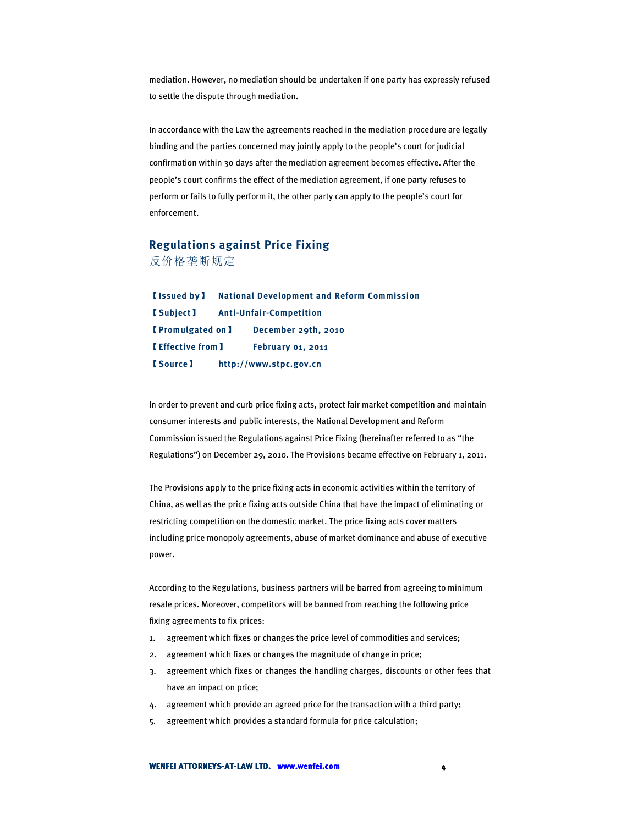mediation. However, no mediation should be undertaken if one party has expressly refused to settle the dispute through mediation.

In accordance with the Law the agreements reached in the mediation procedure are legally binding and the parties concerned may jointly apply to the people's court for judicial confirmation within 30 days after the mediation agreement becomes effective. After the people's court confirms the effect of the mediation agreement, if one party refuses to perform or fails to fully perform it, the other party can apply to the people's court for enforcement.

## **Regulations against Price Fixing**  反价格垄断规定

【**Issued by**】 **National Development and Reform Commission**  【**Subject**】 **Anti-Unfair-Competition**  【**Promulgated on**】 **December 29th, 2010**  【**Effective from**】 **February 01, 2011**  【**Source**】 **http://www.stpc.gov.cn** 

In order to prevent and curb price fixing acts, protect fair market competition and maintain consumer interests and public interests, the National Development and Reform Commission issued the Regulations against Price Fixing (hereinafter referred to as "the Regulations") on December 29, 2010. The Provisions became effective on February 1, 2011.

The Provisions apply to the price fixing acts in economic activities within the territory of China, as well as the price fixing acts outside China that have the impact of eliminating or restricting competition on the domestic market. The price fixing acts cover matters including price monopoly agreements, abuse of market dominance and abuse of executive power.

According to the Regulations, business partners will be barred from agreeing to minimum resale prices. Moreover, competitors will be banned from reaching the following price fixing agreements to fix prices:

- 1. agreement which fixes or changes the price level of commodities and services;
- 2. agreement which fixes or changes the magnitude of change in price;
- 3. agreement which fixes or changes the handling charges, discounts or other fees that have an impact on price;
- 4. agreement which provide an agreed price for the transaction with a third party;
- 5. agreement which provides a standard formula for price calculation;